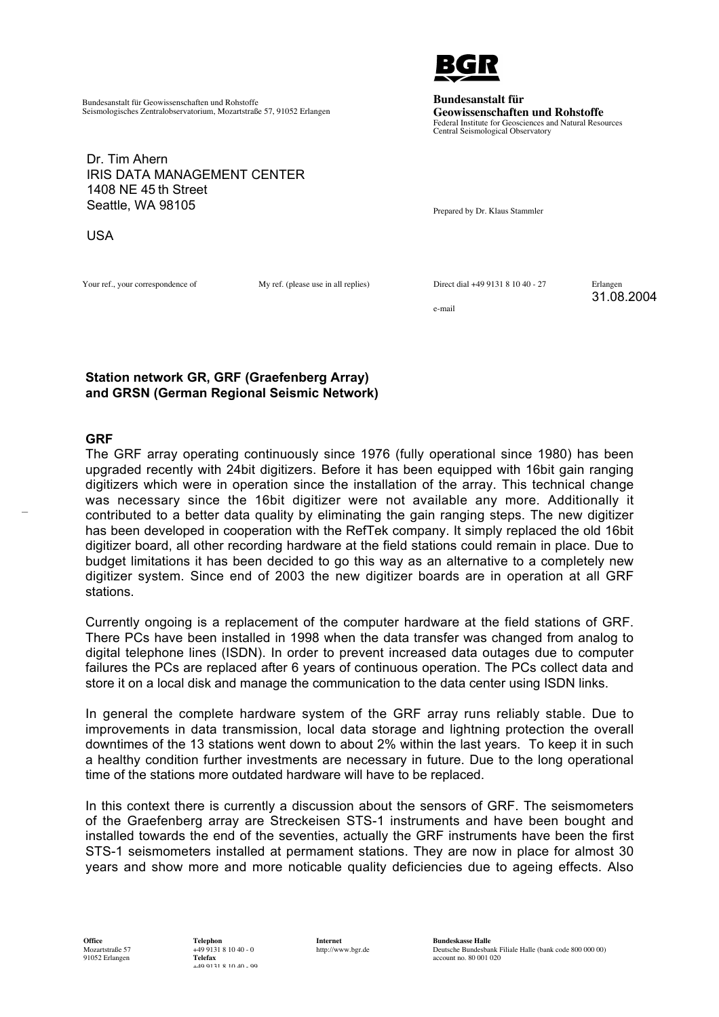

**Bundesanstalt für Geowissenschaften und Rohstoffe** Federal Institute for Geosciences and Natural Resources Central Seismological Observatory

Bundesanstalt für Geowissenschaften und Rohstoffe Seismologisches Zentralobservatorium, Mozartstraße 57, 91052 Erlangen

Dr. Tim Ahern IRIS DATA MANAGEMENT CENTER 1408 NE 45 th Street Seattle, WA 98105

Prepared by Dr. Klaus Stammler

USA

Your ref., your correspondence of My ref. (please use in all replies) Direct dial +49 9131 8 10 40 - 27 Erlangen

31.08.2004

e-mail

## **Station network GR, GRF (Graefenberg Array) and GRSN (German Regional Seismic Network)**

## **GRF**

 $\mathcal{L}$ 

The GRF array operating continuously since 1976 (fully operational since 1980) has been upgraded recently with 24bit digitizers. Before it has been equipped with 16bit gain ranging digitizers which were in operation since the installation of the array. This technical change was necessary since the 16bit digitizer were not available any more. Additionally it contributed to a better data quality by eliminating the gain ranging steps. The new digitizer has been developed in cooperation with the RefTek company. It simply replaced the old 16bit digitizer board, all other recording hardware at the field stations could remain in place. Due to budget limitations it has been decided to go this way as an alternative to a completely new digitizer system. Since end of 2003 the new digitizer boards are in operation at all GRF stations.

Currently ongoing is a replacement of the computer hardware at the field stations of GRF. There PCs have been installed in 1998 when the data transfer was changed from analog to digital telephone lines (ISDN). In order to prevent increased data outages due to computer failures the PCs are replaced after 6 years of continuous operation. The PCs collect data and store it on a local disk and manage the communication to the data center using ISDN links.

In general the complete hardware system of the GRF array runs reliably stable. Due to improvements in data transmission, local data storage and lightning protection the overall downtimes of the 13 stations went down to about 2% within the last years. To keep it in such a healthy condition further investments are necessary in future. Due to the long operational time of the stations more outdated hardware will have to be replaced.

In this context there is currently a discussion about the sensors of GRF. The seismometers of the Graefenberg array are Streckeisen STS-1 instruments and have been bought and installed towards the end of the seventies, actually the GRF instruments have been the first STS-1 seismometers installed at permament stations. They are now in place for almost 30 years and show more and more noticable quality deficiencies due to ageing effects. Also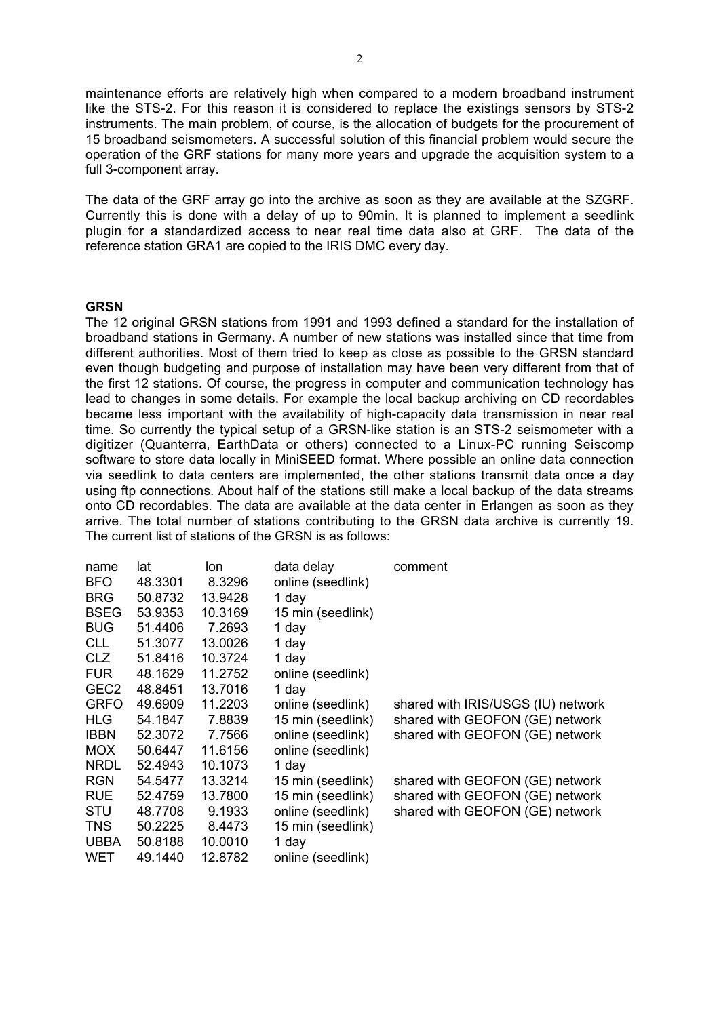maintenance efforts are relatively high when compared to a modern broadband instrument like the STS-2. For this reason it is considered to replace the existings sensors by STS-2 instruments. The main problem, of course, is the allocation of budgets for the procurement of 15 broadband seismometers. A successful solution of this financial problem would secure the operation of the GRF stations for many more years and upgrade the acquisition system to a full 3-component array.

The data of the GRF array go into the archive as soon as they are available at the SZGRF. Currently this is done with a delay of up to 90min. It is planned to implement a seedlink plugin for a standardized access to near real time data also at GRF. The data of the reference station GRA1 are copied to the IRIS DMC every day.

## **GRSN**

The 12 original GRSN stations from 1991 and 1993 defined a standard for the installation of broadband stations in Germany. A number of new stations was installed since that time from different authorities. Most of them tried to keep as close as possible to the GRSN standard even though budgeting and purpose of installation may have been very different from that of the first 12 stations. Of course, the progress in computer and communication technology has lead to changes in some details. For example the local backup archiving on CD recordables became less important with the availability of high-capacity data transmission in near real time. So currently the typical setup of a GRSN-like station is an STS-2 seismometer with a digitizer (Quanterra, EarthData or others) connected to a Linux-PC running Seiscomp software to store data locally in MiniSEED format. Where possible an online data connection via seedlink to data centers are implemented, the other stations transmit data once a day using ftp connections. About half of the stations still make a local backup of the data streams onto CD recordables. The data are available at the data center in Erlangen as soon as they arrive. The total number of stations contributing to the GRSN data archive is currently 19. The current list of stations of the GRSN is as follows:

| lat     | lon.    | data delay        | comment                            |
|---------|---------|-------------------|------------------------------------|
| 48.3301 | 8.3296  | online (seedlink) |                                    |
| 50.8732 | 13.9428 | 1 day             |                                    |
| 53.9353 | 10.3169 | 15 min (seedlink) |                                    |
| 51.4406 | 7.2693  | 1 day             |                                    |
| 51.3077 | 13.0026 | 1 day             |                                    |
| 51.8416 | 10.3724 | 1 day             |                                    |
| 48.1629 | 11.2752 | online (seedlink) |                                    |
| 48.8451 | 13.7016 | 1 day             |                                    |
| 49.6909 | 11.2203 | online (seedlink) | shared with IRIS/USGS (IU) network |
| 54.1847 | 7.8839  | 15 min (seedlink) | shared with GEOFON (GE) network    |
| 52.3072 | 7.7566  | online (seedlink) | shared with GEOFON (GE) network    |
| 50.6447 | 11.6156 | online (seedlink) |                                    |
| 52.4943 | 10.1073 | 1 day             |                                    |
| 54.5477 | 13.3214 | 15 min (seedlink) | shared with GEOFON (GE) network    |
| 52.4759 | 13.7800 | 15 min (seedlink) | shared with GEOFON (GE) network    |
| 48.7708 | 9.1933  | online (seedlink) | shared with GEOFON (GE) network    |
| 50.2225 | 8.4473  | 15 min (seedlink) |                                    |
| 50.8188 | 10.0010 | 1 day             |                                    |
| 49.1440 | 12.8782 | online (seedlink) |                                    |
|         |         |                   |                                    |